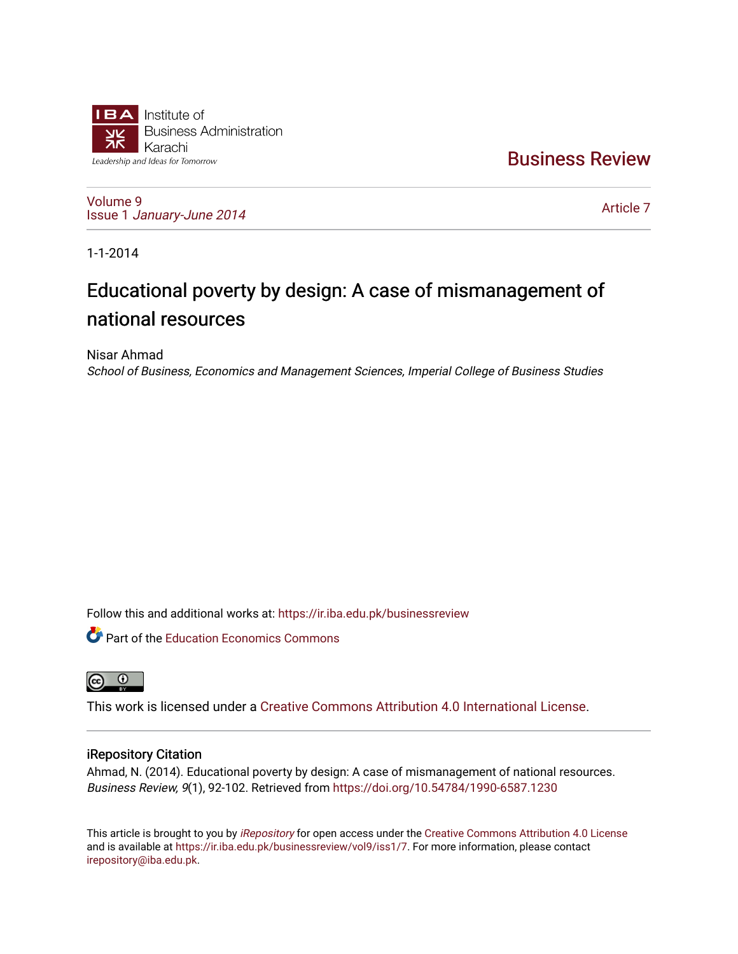

[Business Review](https://ir.iba.edu.pk/businessreview) 

[Volume 9](https://ir.iba.edu.pk/businessreview/vol9) Issue 1 [January-June 2014](https://ir.iba.edu.pk/businessreview/vol9/iss1) 

[Article 7](https://ir.iba.edu.pk/businessreview/vol9/iss1/7) 

1-1-2014

# Educational poverty by design: A case of mismanagement of national resources

Nisar Ahmad School of Business, Economics and Management Sciences, Imperial College of Business Studies

Follow this and additional works at: [https://ir.iba.edu.pk/businessreview](https://ir.iba.edu.pk/businessreview?utm_source=ir.iba.edu.pk%2Fbusinessreview%2Fvol9%2Fiss1%2F7&utm_medium=PDF&utm_campaign=PDFCoverPages) 

**C** Part of the Education Economics Commons



This work is licensed under a [Creative Commons Attribution 4.0 International License](https://creativecommons.org/licenses/by/4.0/).

# iRepository Citation

Ahmad, N. (2014). Educational poverty by design: A case of mismanagement of national resources. Business Review, 9(1), 92-102. Retrieved from<https://doi.org/10.54784/1990-6587.1230>

This article is brought to you by [iRepository](https://ir.iba.edu.pk/) for open access under the Creative Commons Attribution 4.0 License and is available at [https://ir.iba.edu.pk/businessreview/vol9/iss1/7.](https://ir.iba.edu.pk/businessreview/vol9/iss1/7) For more information, please contact [irepository@iba.edu.pk.](mailto:irepository@iba.edu.pk)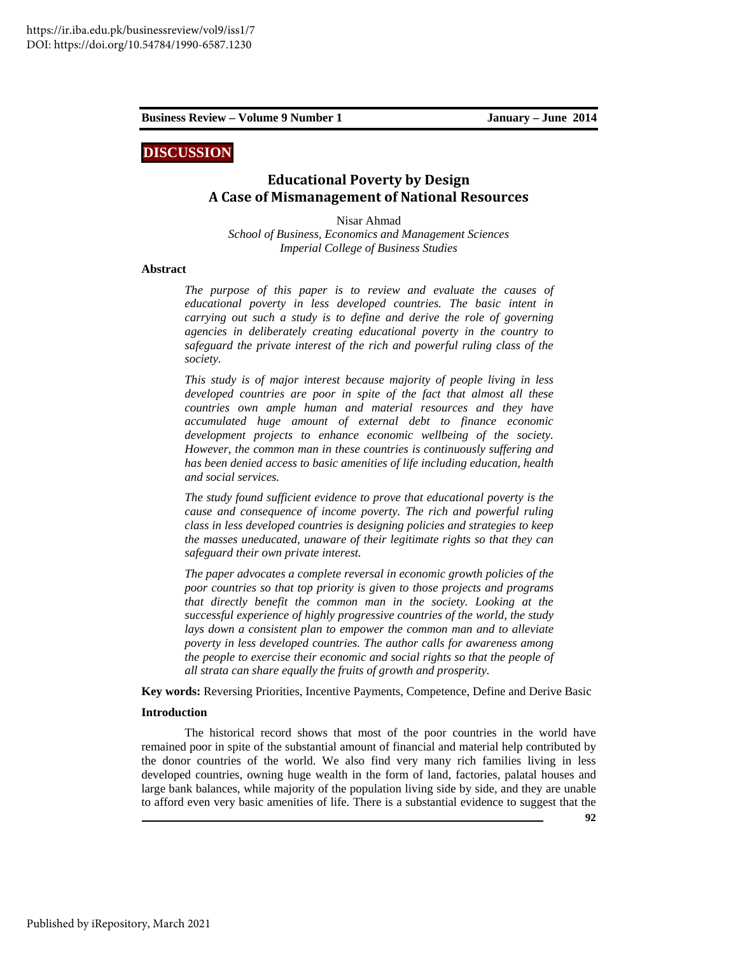# **DISCUSSION**

# **Educational Poverty by Design A Case of Mismanagement of National Resources**

Nisar Ahmad *School of Business, Economics and Management Sciences Imperial College of Business Studies* 

### **Abstract**

*The purpose of this paper is to review and evaluate the causes of educational poverty in less developed countries. The basic intent in carrying out such a study is to define and derive the role of governing agencies in deliberately creating educational poverty in the country to safeguard the private interest of the rich and powerful ruling class of the society.* 

*This study is of major interest because majority of people living in less developed countries are poor in spite of the fact that almost all these countries own ample human and material resources and they have accumulated huge amount of external debt to finance economic development projects to enhance economic wellbeing of the society. However, the common man in these countries is continuously suffering and has been denied access to basic amenities of life including education, health and social services.* 

*The study found sufficient evidence to prove that educational poverty is the cause and consequence of income poverty. The rich and powerful ruling class in less developed countries is designing policies and strategies to keep the masses uneducated, unaware of their legitimate rights so that they can safeguard their own private interest.* 

*The paper advocates a complete reversal in economic growth policies of the poor countries so that top priority is given to those projects and programs that directly benefit the common man in the society. Looking at the successful experience of highly progressive countries of the world, the study lays down a consistent plan to empower the common man and to alleviate poverty in less developed countries. The author calls for awareness among the people to exercise their economic and social rights so that the people of all strata can share equally the fruits of growth and prosperity.* 

**Key words:** Reversing Priorities, Incentive Payments, Competence, Define and Derive Basic

### **Introduction**

The historical record shows that most of the poor countries in the world have remained poor in spite of the substantial amount of financial and material help contributed by the donor countries of the world. We also find very many rich families living in less developed countries, owning huge wealth in the form of land, factories, palatal houses and large bank balances, while majority of the population living side by side, and they are unable to afford even very basic amenities of life. There is a substantial evidence to suggest that the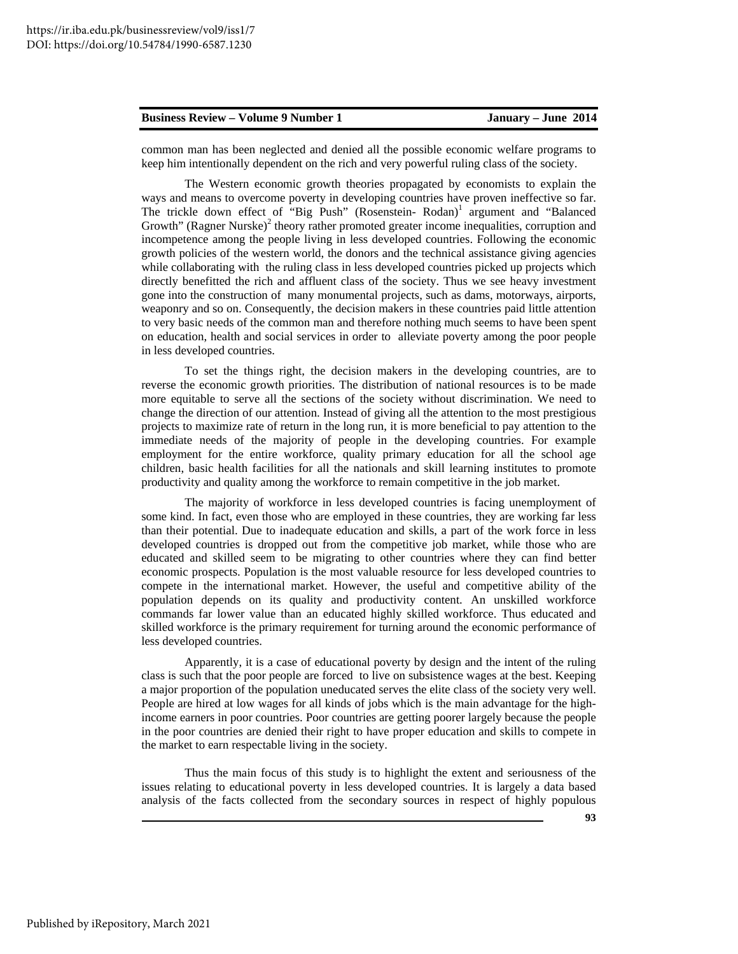common man has been neglected and denied all the possible economic welfare programs to keep him intentionally dependent on the rich and very powerful ruling class of the society.

The Western economic growth theories propagated by economists to explain the ways and means to overcome poverty in developing countries have proven ineffective so far. The trickle down effect of "Big Push" (Rosenstein- Rodan)<sup>1</sup> argument and "Balanced Growth" (Ragner Nurske)<sup>2</sup> theory rather promoted greater income inequalities, corruption and incompetence among the people living in less developed countries. Following the economic growth policies of the western world, the donors and the technical assistance giving agencies while collaborating with the ruling class in less developed countries picked up projects which directly benefitted the rich and affluent class of the society. Thus we see heavy investment gone into the construction of many monumental projects, such as dams, motorways, airports, weaponry and so on. Consequently, the decision makers in these countries paid little attention to very basic needs of the common man and therefore nothing much seems to have been spent on education, health and social services in order to alleviate poverty among the poor people in less developed countries.

To set the things right, the decision makers in the developing countries, are to reverse the economic growth priorities. The distribution of national resources is to be made more equitable to serve all the sections of the society without discrimination. We need to change the direction of our attention. Instead of giving all the attention to the most prestigious projects to maximize rate of return in the long run, it is more beneficial to pay attention to the immediate needs of the majority of people in the developing countries. For example employment for the entire workforce, quality primary education for all the school age children, basic health facilities for all the nationals and skill learning institutes to promote productivity and quality among the workforce to remain competitive in the job market.

The majority of workforce in less developed countries is facing unemployment of some kind. In fact, even those who are employed in these countries, they are working far less than their potential. Due to inadequate education and skills, a part of the work force in less developed countries is dropped out from the competitive job market, while those who are educated and skilled seem to be migrating to other countries where they can find better economic prospects. Population is the most valuable resource for less developed countries to compete in the international market. However, the useful and competitive ability of the population depends on its quality and productivity content. An unskilled workforce commands far lower value than an educated highly skilled workforce. Thus educated and skilled workforce is the primary requirement for turning around the economic performance of less developed countries.

Apparently, it is a case of educational poverty by design and the intent of the ruling class is such that the poor people are forced to live on subsistence wages at the best. Keeping a major proportion of the population uneducated serves the elite class of the society very well. People are hired at low wages for all kinds of jobs which is the main advantage for the highincome earners in poor countries. Poor countries are getting poorer largely because the people in the poor countries are denied their right to have proper education and skills to compete in the market to earn respectable living in the society.

Thus the main focus of this study is to highlight the extent and seriousness of the issues relating to educational poverty in less developed countries. It is largely a data based analysis of the facts collected from the secondary sources in respect of highly populous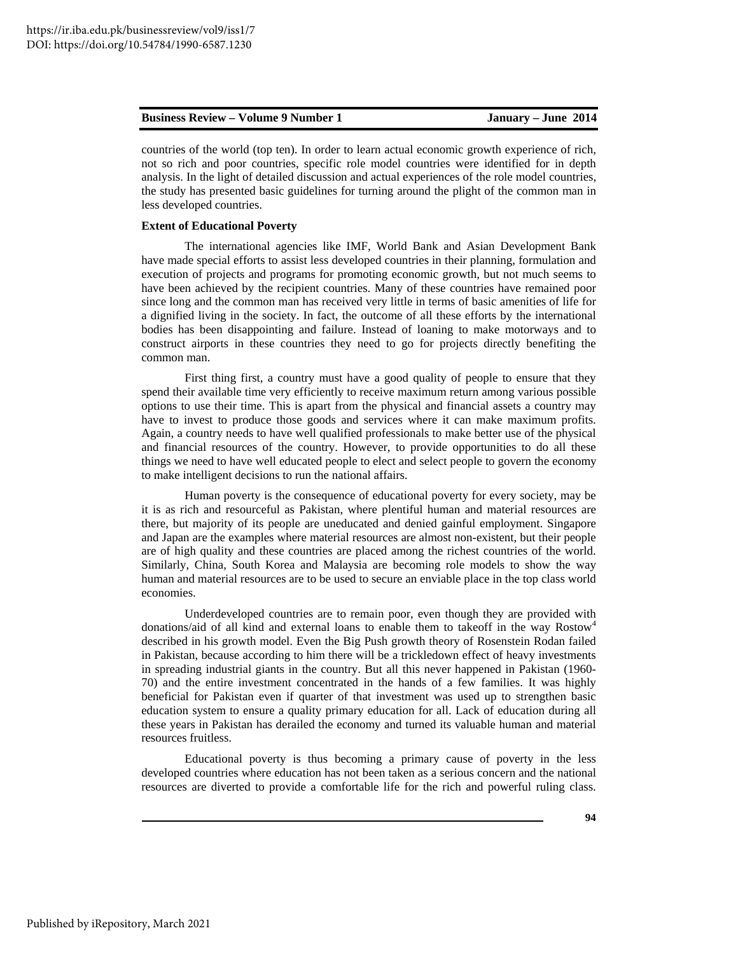countries of the world (top ten). In order to learn actual economic growth experience of rich, not so rich and poor countries, specific role model countries were identified for in depth analysis. In the light of detailed discussion and actual experiences of the role model countries, the study has presented basic guidelines for turning around the plight of the common man in less developed countries.

### **Extent of Educational Poverty**

The international agencies like IMF, World Bank and Asian Development Bank have made special efforts to assist less developed countries in their planning, formulation and execution of projects and programs for promoting economic growth, but not much seems to have been achieved by the recipient countries. Many of these countries have remained poor since long and the common man has received very little in terms of basic amenities of life for a dignified living in the society. In fact, the outcome of all these efforts by the international bodies has been disappointing and failure. Instead of loaning to make motorways and to construct airports in these countries they need to go for projects directly benefiting the common man.

First thing first, a country must have a good quality of people to ensure that they spend their available time very efficiently to receive maximum return among various possible options to use their time. This is apart from the physical and financial assets a country may have to invest to produce those goods and services where it can make maximum profits. Again, a country needs to have well qualified professionals to make better use of the physical and financial resources of the country. However, to provide opportunities to do all these things we need to have well educated people to elect and select people to govern the economy to make intelligent decisions to run the national affairs.

Human poverty is the consequence of educational poverty for every society, may be it is as rich and resourceful as Pakistan, where plentiful human and material resources are there, but majority of its people are uneducated and denied gainful employment. Singapore and Japan are the examples where material resources are almost non-existent, but their people are of high quality and these countries are placed among the richest countries of the world. Similarly, China, South Korea and Malaysia are becoming role models to show the way human and material resources are to be used to secure an enviable place in the top class world economies.

Underdeveloped countries are to remain poor, even though they are provided with donations/aid of all kind and external loans to enable them to takeoff in the way Rostow<sup>4</sup> described in his growth model. Even the Big Push growth theory of Rosenstein Rodan failed in Pakistan, because according to him there will be a trickledown effect of heavy investments in spreading industrial giants in the country. But all this never happened in Pakistan (1960- 70) and the entire investment concentrated in the hands of a few families. It was highly beneficial for Pakistan even if quarter of that investment was used up to strengthen basic education system to ensure a quality primary education for all. Lack of education during all these years in Pakistan has derailed the economy and turned its valuable human and material resources fruitless.

Educational poverty is thus becoming a primary cause of poverty in the less developed countries where education has not been taken as a serious concern and the national resources are diverted to provide a comfortable life for the rich and powerful ruling class.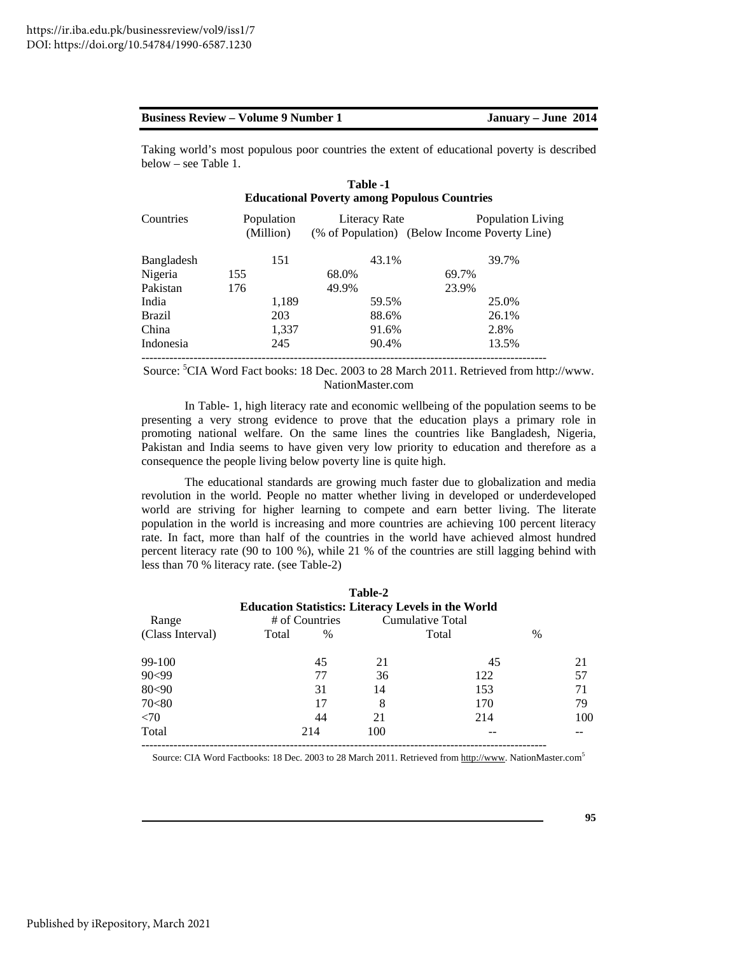Taking world's most populous poor countries the extent of educational poverty is described below – see Table 1.

| Table -1<br><b>Educational Poverty among Populous Countries</b> |       |                         |       |       |                                                                                                    |
|-----------------------------------------------------------------|-------|-------------------------|-------|-------|----------------------------------------------------------------------------------------------------|
|                                                                 |       |                         |       |       | Population Living                                                                                  |
|                                                                 | 151   |                         | 43.1% |       | 39.7%                                                                                              |
| 155                                                             |       | 68.0%                   |       | 69.7% |                                                                                                    |
| 176                                                             |       | 49.9%                   |       | 23.9% |                                                                                                    |
|                                                                 | 1,189 |                         |       |       | 25.0%                                                                                              |
|                                                                 | 203   |                         |       |       | 26.1%                                                                                              |
|                                                                 | 1,337 |                         |       |       | 2.8%                                                                                               |
|                                                                 | 245   |                         |       |       | 13.5%                                                                                              |
|                                                                 |       | Population<br>(Million) |       |       | Literacy Rate<br>(% of Population) (Below Income Poverty Line)<br>59.5%<br>88.6%<br>91.6%<br>90.4% |

Source: <sup>5</sup>CIA Word Fact books: 18 Dec. 2003 to 28 March 2011. Retrieved from http://www. NationMaster.com

In Table- 1, high literacy rate and economic wellbeing of the population seems to be presenting a very strong evidence to prove that the education plays a primary role in promoting national welfare. On the same lines the countries like Bangladesh, Nigeria, Pakistan and India seems to have given very low priority to education and therefore as a consequence the people living below poverty line is quite high.

The educational standards are growing much faster due to globalization and media revolution in the world. People no matter whether living in developed or underdeveloped world are striving for higher learning to compete and earn better living. The literate population in the world is increasing and more countries are achieving 100 percent literacy rate. In fact, more than half of the countries in the world have achieved almost hundred percent literacy rate (90 to 100 %), while 21 % of the countries are still lagging behind with less than 70 % literacy rate. (see Table-2)

|                  |       |                | Table-2 |                                                                               |   |     |
|------------------|-------|----------------|---------|-------------------------------------------------------------------------------|---|-----|
| Range            |       | # of Countries |         | <b>Education Statistics: Literacy Levels in the World</b><br>Cumulative Total |   |     |
| (Class Interval) | Total | $\%$           |         | Total                                                                         | % |     |
| 99-100           |       | 45             | 21      | 45                                                                            |   | 21  |
| 90<99            |       | 77             | 36      | 122                                                                           |   | 57  |
| 80<90            |       | 31             | 14      | 153                                                                           |   | 71  |
| 70<80            |       | 17             | 8       | 170                                                                           |   | 79  |
| <70              |       | 44             | 21      | 214                                                                           |   | 100 |
| Total            |       | 214            | 100     |                                                                               |   |     |

Source: CIA Word Factbooks: 18 Dec. 2003 to 28 March 2011. Retrieved from http://www. NationMaster.com5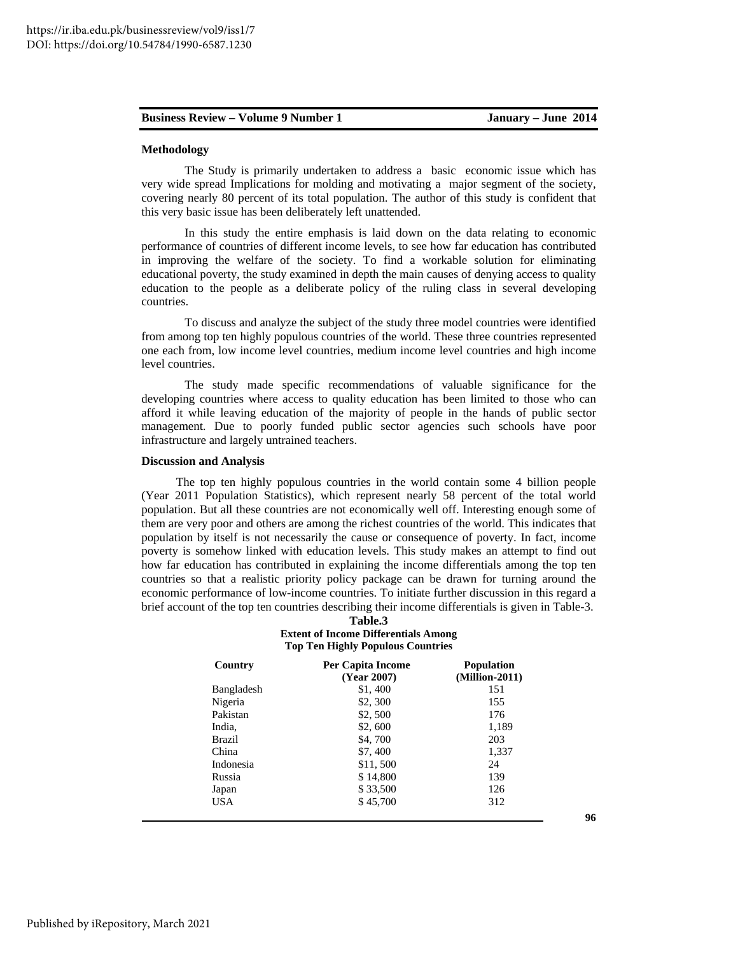### **Methodology**

The Study is primarily undertaken to address a basic economic issue which has very wide spread Implications for molding and motivating a major segment of the society, covering nearly 80 percent of its total population. The author of this study is confident that this very basic issue has been deliberately left unattended.

In this study the entire emphasis is laid down on the data relating to economic performance of countries of different income levels, to see how far education has contributed in improving the welfare of the society. To find a workable solution for eliminating educational poverty, the study examined in depth the main causes of denying access to quality education to the people as a deliberate policy of the ruling class in several developing countries.

To discuss and analyze the subject of the study three model countries were identified from among top ten highly populous countries of the world. These three countries represented one each from, low income level countries, medium income level countries and high income level countries.

The study made specific recommendations of valuable significance for the developing countries where access to quality education has been limited to those who can afford it while leaving education of the majority of people in the hands of public sector management. Due to poorly funded public sector agencies such schools have poor infrastructure and largely untrained teachers.

### **Discussion and Analysis**

The top ten highly populous countries in the world contain some 4 billion people (Year 2011 Population Statistics), which represent nearly 58 percent of the total world population. But all these countries are not economically well off. Interesting enough some of them are very poor and others are among the richest countries of the world. This indicates that population by itself is not necessarily the cause or consequence of poverty. In fact, income poverty is somehow linked with education levels. This study makes an attempt to find out how far education has contributed in explaining the income differentials among the top ten countries so that a realistic priority policy package can be drawn for turning around the economic performance of low-income countries. To initiate further discussion in this regard a brief account of the top ten countries describing their income differentials is given in Table-3.

### **Table.3 Extent of Income Differentials Among Top Ten Highly Populous Countries**

| Country       | <b>Per Capita Income</b><br>(Year 2007) | <b>Population</b><br>$(Million-2011)$ |
|---------------|-----------------------------------------|---------------------------------------|
| Bangladesh    | \$1,400                                 | 151                                   |
| Nigeria       | \$2,300                                 | 155                                   |
| Pakistan      | \$2,500                                 | 176                                   |
| India,        | \$2,600                                 | 1,189                                 |
| <b>Brazil</b> | \$4,700                                 | 203                                   |
| China         | \$7,400                                 | 1,337                                 |
| Indonesia     | \$11,500                                | 24                                    |
| Russia        | \$14,800                                | 139                                   |
| Japan         | \$33,500                                | 126                                   |
| <b>USA</b>    | \$45,700                                | 312                                   |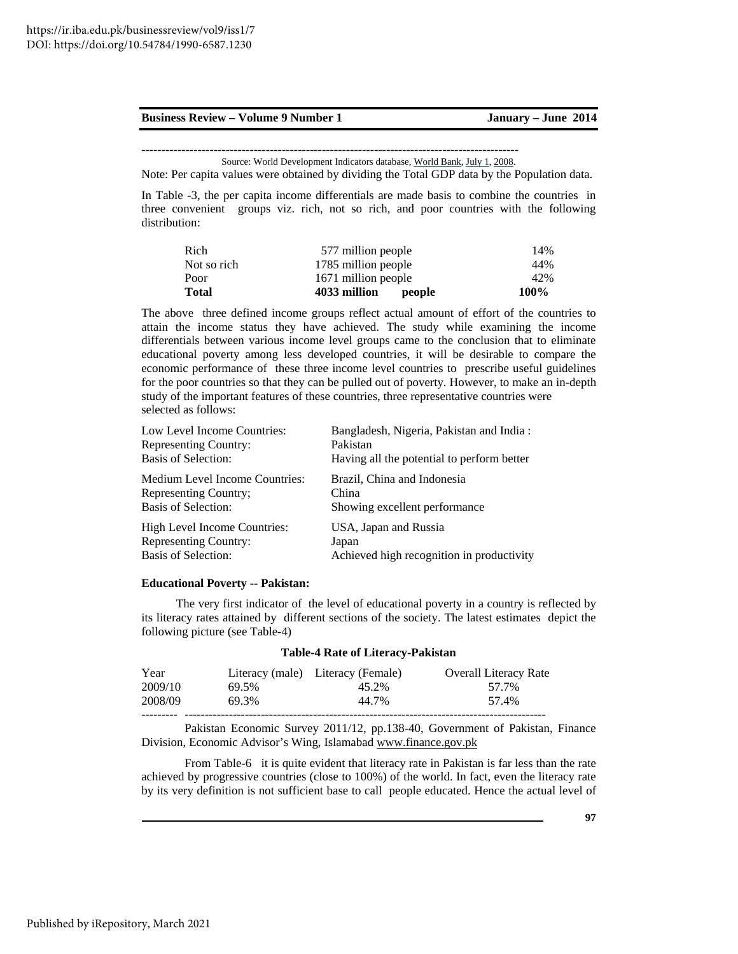Source: World Development Indicators database, World Bank, July 1, 2008.

Note: Per capita values were obtained by dividing the Total GDP data by the Population data.

In Table -3, the per capita income differentials are made basis to combine the countries in three convenient groups viz. rich, not so rich, and poor countries with the following distribution:

| Total       | 4033 million<br>people | 100% |
|-------------|------------------------|------|
| Poor        | 1671 million people    | 42%  |
| Not so rich | 1785 million people    | 44%  |
| Rich        | 577 million people     | 14%  |

The above three defined income groups reflect actual amount of effort of the countries to attain the income status they have achieved. The study while examining the income differentials between various income level groups came to the conclusion that to eliminate educational poverty among less developed countries, it will be desirable to compare the economic performance of these three income level countries to prescribe useful guidelines for the poor countries so that they can be pulled out of poverty. However, to make an in-depth study of the important features of these countries, three representative countries were selected as follows:

| Low Level Income Countries:    | Bangladesh, Nigeria, Pakistan and India:   |
|--------------------------------|--------------------------------------------|
| <b>Representing Country:</b>   | Pakistan                                   |
| <b>Basis of Selection:</b>     | Having all the potential to perform better |
| Medium Level Income Countries: | Brazil, China and Indonesia                |
| Representing Country;          | China                                      |
| <b>Basis of Selection:</b>     | Showing excellent performance              |
| High Level Income Countries:   | USA, Japan and Russia                      |
| Representing Country:          | Japan                                      |
| Basis of Selection:            | Achieved high recognition in productivity  |

### **Educational Poverty -- Pakistan:**

The very first indicator of the level of educational poverty in a country is reflected by its literacy rates attained by different sections of the society. The latest estimates depict the following picture (see Table-4)

|       | <b>Table-4 Rate of Literacy-Pakistan</b> |  |  |  |  |  |
|-------|------------------------------------------|--|--|--|--|--|
|       | <b>Overall Literacy Rate</b>             |  |  |  |  |  |
| 45.2% | 57.7%                                    |  |  |  |  |  |
| 44.7% | 57.4%                                    |  |  |  |  |  |
|       | Literacy (male) Literacy (Female)        |  |  |  |  |  |

Pakistan Economic Survey 2011/12, pp.138-40, Government of Pakistan, Finance Division, Economic Advisor's Wing, Islamabad www.finance.gov.pk

From Table-6 it is quite evident that literacy rate in Pakistan is far less than the rate achieved by progressive countries (close to 100%) of the world. In fact, even the literacy rate by its very definition is not sufficient base to call people educated. Hence the actual level of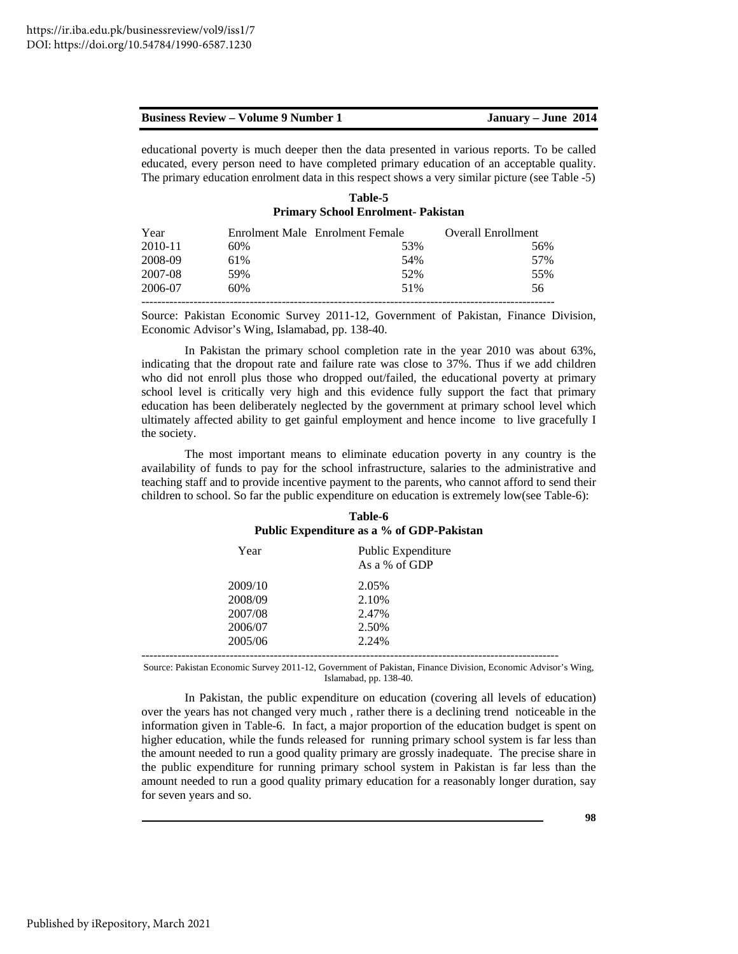| <b>Business Review – Volume 9 Number 1</b> | January – June 2014 |
|--------------------------------------------|---------------------|
|--------------------------------------------|---------------------|

educational poverty is much deeper then the data presented in various reports. To be called educated, every person need to have completed primary education of an acceptable quality. The primary education enrolment data in this respect shows a very similar picture (see Table -5)

| Table-5                                   |
|-------------------------------------------|
| <b>Primary School Enrolment- Pakistan</b> |

| Year    |     | Enrolment Male Enrolment Female | Overall Enrollment |
|---------|-----|---------------------------------|--------------------|
| 2010-11 | 60% | 53%                             | 56%                |
| 2008-09 | 61% | 54%                             | 57%                |
| 2007-08 | 59% | 52%                             | 55%                |
| 2006-07 | 60% | 51%                             | 56                 |
|         |     |                                 |                    |

Source: Pakistan Economic Survey 2011-12, Government of Pakistan, Finance Division, Economic Advisor's Wing, Islamabad, pp. 138-40.

In Pakistan the primary school completion rate in the year 2010 was about 63%, indicating that the dropout rate and failure rate was close to 37%. Thus if we add children who did not enroll plus those who dropped out/failed, the educational poverty at primary school level is critically very high and this evidence fully support the fact that primary education has been deliberately neglected by the government at primary school level which ultimately affected ability to get gainful employment and hence income to live gracefully I the society.

The most important means to eliminate education poverty in any country is the availability of funds to pay for the school infrastructure, salaries to the administrative and teaching staff and to provide incentive payment to the parents, who cannot afford to send their children to school. So far the public expenditure on education is extremely low(see Table-6):

| Table-6                                   |  |  |  |  |
|-------------------------------------------|--|--|--|--|
| Public Expenditure as a % of GDP-Pakistan |  |  |  |  |

| Year    | Public Expenditure<br>As a % of GDP |
|---------|-------------------------------------|
| 2009/10 | 2.05%                               |
| 2008/09 | 2.10%                               |
| 2007/08 | 2.47%                               |
| 2006/07 | 2.50%                               |
| 2005/06 | 2.24%                               |
|         |                                     |

Source: Pakistan Economic Survey 2011-12, Government of Pakistan, Finance Division, Economic Advisor's Wing, Islamabad, pp. 138-40.

In Pakistan, the public expenditure on education (covering all levels of education) over the years has not changed very much , rather there is a declining trend noticeable in the information given in Table-6. In fact, a major proportion of the education budget is spent on higher education, while the funds released for running primary school system is far less than the amount needed to run a good quality primary are grossly inadequate. The precise share in the public expenditure for running primary school system in Pakistan is far less than the amount needed to run a good quality primary education for a reasonably longer duration, say for seven years and so.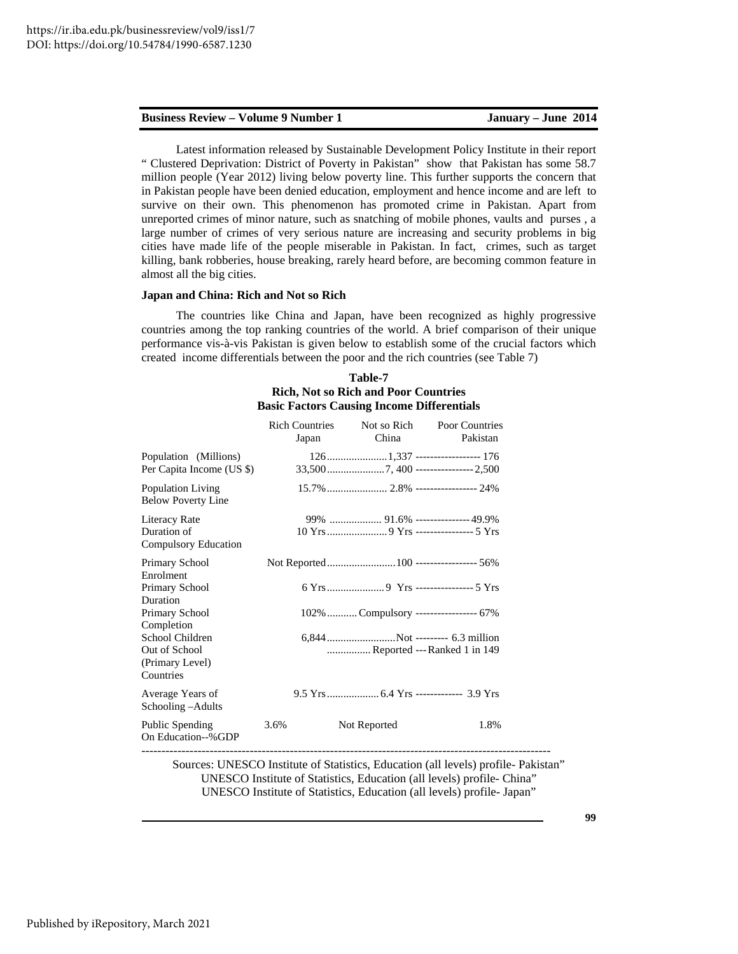Latest information released by Sustainable Development Policy Institute in their report " Clustered Deprivation: District of Poverty in Pakistan" show that Pakistan has some 58.7 million people (Year 2012) living below poverty line. This further supports the concern that in Pakistan people have been denied education, employment and hence income and are left to survive on their own. This phenomenon has promoted crime in Pakistan. Apart from unreported crimes of minor nature, such as snatching of mobile phones, vaults and purses , a large number of crimes of very serious nature are increasing and security problems in big cities have made life of the people miserable in Pakistan. In fact, crimes, such as target killing, bank robberies, house breaking, rarely heard before, are becoming common feature in almost all the big cities.

### **Japan and China: Rich and Not so Rich**

The countries like China and Japan, have been recognized as highly progressive countries among the top ranking countries of the world. A brief comparison of their unique performance vis-à-vis Pakistan is given below to establish some of the crucial factors which created income differentials between the poor and the rich countries (see Table 7)

# **Table-7 Rich, Not so Rich and Poor Countries Basic Factors Causing Income Differentials**

|                                                                  | <b>Rich Countries</b><br>Japan | Not so Rich<br>China                                           | Poor Countries<br>Pakistan |
|------------------------------------------------------------------|--------------------------------|----------------------------------------------------------------|----------------------------|
| Population (Millions)<br>Per Capita Income (US \$)               |                                | 1261,337 ---------------------- 176                            |                            |
| Population Living<br><b>Below Poverty Line</b>                   |                                |                                                                |                            |
| Literacy Rate<br>Duration of<br>Compulsory Education             |                                |                                                                |                            |
| Primary School<br>Enrolment<br>Primary School                    |                                |                                                                |                            |
| Duration<br>Primary School<br>Completion                         |                                | 102\% Compulsory ------------------- 67\%                      |                            |
| School Children<br>Out of School<br>(Primary Level)<br>Countries |                                | 6,844Not --------- 6.3 million<br>Reported --- Ranked 1 in 149 |                            |
| Average Years of<br>Schooling – Adults                           |                                |                                                                |                            |
| <b>Public Spending</b><br>On Education--%GDP                     | 3.6%                           | Not Reported                                                   | 1.8%                       |

Sources: UNESCO Institute of Statistics, Education (all levels) profile- Pakistan" UNESCO Institute of Statistics, Education (all levels) profile- China" UNESCO Institute of Statistics, Education (all levels) profile- Japan"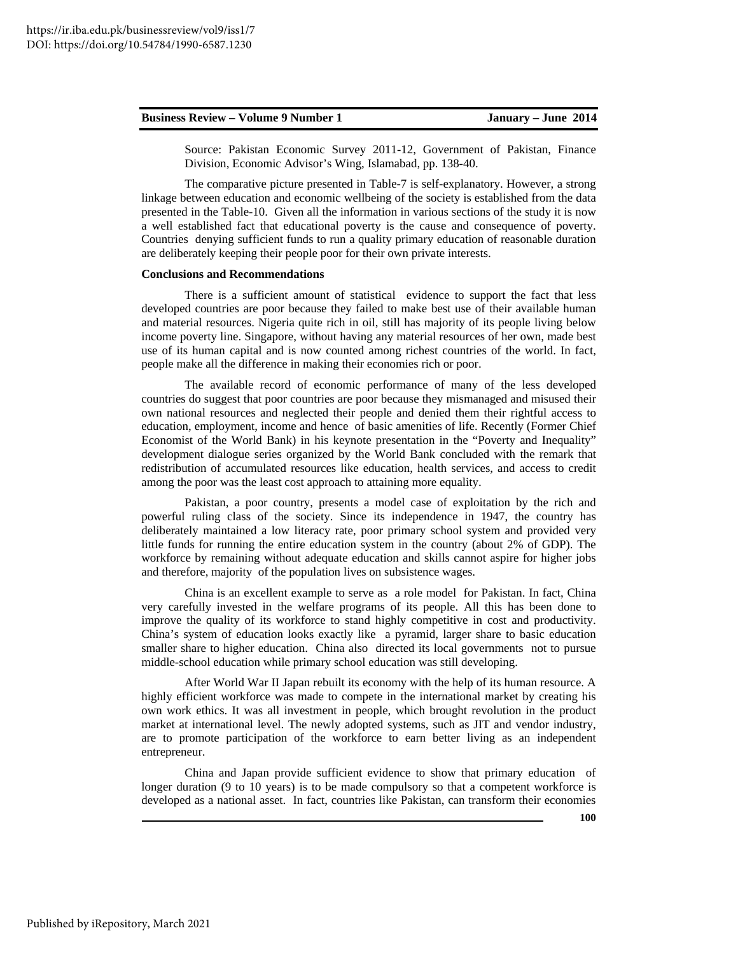| <b>Business Review – Volume 9 Number 1</b> |  |
|--------------------------------------------|--|
|                                            |  |

January – June 2014

Source: Pakistan Economic Survey 2011-12, Government of Pakistan, Finance Division, Economic Advisor's Wing, Islamabad, pp. 138-40.

The comparative picture presented in Table-7 is self-explanatory. However, a strong linkage between education and economic wellbeing of the society is established from the data presented in the Table-10. Given all the information in various sections of the study it is now a well established fact that educational poverty is the cause and consequence of poverty. Countries denying sufficient funds to run a quality primary education of reasonable duration are deliberately keeping their people poor for their own private interests.

### **Conclusions and Recommendations**

There is a sufficient amount of statistical evidence to support the fact that less developed countries are poor because they failed to make best use of their available human and material resources. Nigeria quite rich in oil, still has majority of its people living below income poverty line. Singapore, without having any material resources of her own, made best use of its human capital and is now counted among richest countries of the world. In fact, people make all the difference in making their economies rich or poor.

The available record of economic performance of many of the less developed countries do suggest that poor countries are poor because they mismanaged and misused their own national resources and neglected their people and denied them their rightful access to education, employment, income and hence of basic amenities of life. Recently (Former Chief Economist of the World Bank) in his keynote presentation in the "Poverty and Inequality" development dialogue series organized by the World Bank concluded with the remark that redistribution of accumulated resources like education, health services, and access to credit among the poor was the least cost approach to attaining more equality.

Pakistan, a poor country, presents a model case of exploitation by the rich and powerful ruling class of the society. Since its independence in 1947, the country has deliberately maintained a low literacy rate, poor primary school system and provided very little funds for running the entire education system in the country (about 2% of GDP). The workforce by remaining without adequate education and skills cannot aspire for higher jobs and therefore, majority of the population lives on subsistence wages.

China is an excellent example to serve as a role model for Pakistan. In fact, China very carefully invested in the welfare programs of its people. All this has been done to improve the quality of its workforce to stand highly competitive in cost and productivity. China's system of education looks exactly like a pyramid, larger share to basic education smaller share to higher education. China also directed its local governments not to pursue middle-school education while primary school education was still developing.

After World War II Japan rebuilt its economy with the help of its human resource. A highly efficient workforce was made to compete in the international market by creating his own work ethics. It was all investment in people, which brought revolution in the product market at international level. The newly adopted systems, such as JIT and vendor industry, are to promote participation of the workforce to earn better living as an independent entrepreneur.

China and Japan provide sufficient evidence to show that primary education of longer duration (9 to 10 years) is to be made compulsory so that a competent workforce is developed as a national asset. In fact, countries like Pakistan, can transform their economies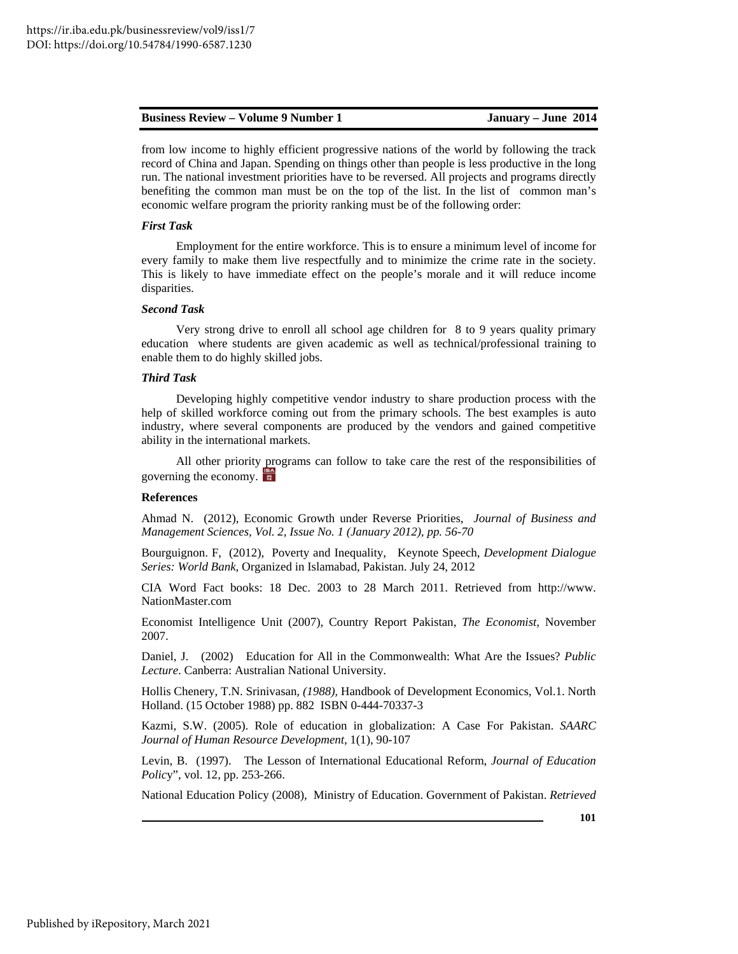from low income to highly efficient progressive nations of the world by following the track record of China and Japan. Spending on things other than people is less productive in the long run. The national investment priorities have to be reversed. All projects and programs directly benefiting the common man must be on the top of the list. In the list of common man's economic welfare program the priority ranking must be of the following order:

### *First Task*

Employment for the entire workforce. This is to ensure a minimum level of income for every family to make them live respectfully and to minimize the crime rate in the society. This is likely to have immediate effect on the people's morale and it will reduce income disparities.

### *Second Task*

Very strong drive to enroll all school age children for 8 to 9 years quality primary education where students are given academic as well as technical/professional training to enable them to do highly skilled jobs.

### *Third Task*

Developing highly competitive vendor industry to share production process with the help of skilled workforce coming out from the primary schools. The best examples is auto industry, where several components are produced by the vendors and gained competitive ability in the international markets.

All other priority programs can follow to take care the rest of the responsibilities of governing the economy.

### **References**

Ahmad N. (2012), Economic Growth under Reverse Priorities, *Journal of Business and Management Sciences, Vol. 2, Issue No. 1 (January 2012), pp. 56-70*

Bourguignon. F, (2012), Poverty and Inequality, Keynote Speech, *Development Dialogue Series: World Bank,* Organized in Islamabad, Pakistan. July 24, 2012

CIA Word Fact books: 18 Dec. 2003 to 28 March 2011. Retrieved from http://www. NationMaster.com

Economist Intelligence Unit (2007), Country Report Pakistan, *The Economist,* November 2007.

Daniel, J. (2002) Education for All in the Commonwealth: What Are the Issues? *Public Lecture*. Canberra: Australian National University.

Hollis Chenery, T.N. Srinivasan*, (1988),* Handbook of Development Economics, Vol.1. North Holland. (15 October 1988) pp. 882 ISBN 0-444-70337-3

Kazmi, S.W. (2005). Role of education in globalization: A Case For Pakistan. *SAARC Journal of Human Resource Development,* 1(1), 90-107

Levin, B. (1997). The Lesson of International Educational Reform, *Journal of Education Polic*y", vol. 12, pp. 253-266.

National Education Policy (2008), Ministry of Education. Government of Pakistan. *Retrieved*